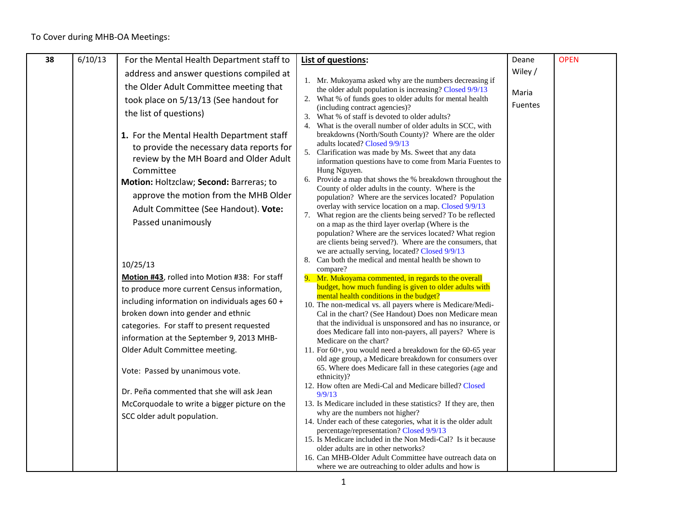| 38 | 6/10/13 | For the Mental Health Department staff to      |    | List of questions:                                                                                                      | Deane          | <b>OPEN</b> |
|----|---------|------------------------------------------------|----|-------------------------------------------------------------------------------------------------------------------------|----------------|-------------|
|    |         | address and answer questions compiled at       |    |                                                                                                                         | Wiley/         |             |
|    |         | the Older Adult Committee meeting that         |    | 1. Mr. Mukoyama asked why are the numbers decreasing if<br>the older adult population is increasing? Closed 9/9/13      |                |             |
|    |         | took place on 5/13/13 (See handout for         |    | 2. What % of funds goes to older adults for mental health                                                               | Maria          |             |
|    |         | the list of questions)                         |    | (including contract agencies)?<br>3. What % of staff is devoted to older adults?                                        | <b>Fuentes</b> |             |
|    |         |                                                |    | 4. What is the overall number of older adults in SCC, with                                                              |                |             |
|    |         | 1. For the Mental Health Department staff      |    | breakdowns (North/South County)? Where are the older                                                                    |                |             |
|    |         | to provide the necessary data reports for      |    | adults located? Closed 9/9/13                                                                                           |                |             |
|    |         | review by the MH Board and Older Adult         |    | 5. Clarification was made by Ms. Sweet that any data<br>information questions have to come from Maria Fuentes to        |                |             |
|    |         | Committee                                      |    | Hung Nguyen.                                                                                                            |                |             |
|    |         | Motion: Holtzclaw; Second: Barreras; to        |    | 6. Provide a map that shows the % breakdown throughout the<br>County of older adults in the county. Where is the        |                |             |
|    |         | approve the motion from the MHB Older          |    | population? Where are the services located? Population                                                                  |                |             |
|    |         | Adult Committee (See Handout). Vote:           |    | overlay with service location on a map. Closed 9/9/13                                                                   |                |             |
|    |         | Passed unanimously                             |    | 7. What region are the clients being served? To be reflected<br>on a map as the third layer overlap (Where is the       |                |             |
|    |         |                                                |    | population? Where are the services located? What region                                                                 |                |             |
|    |         |                                                |    | are clients being served?). Where are the consumers, that                                                               |                |             |
|    |         |                                                | 8. | we are actually serving, located? Closed 9/9/13<br>Can both the medical and mental health be shown to                   |                |             |
|    |         | 10/25/13                                       |    | compare?                                                                                                                |                |             |
|    |         | Motion #43, rolled into Motion #38: For staff  |    | 9. Mr. Mukoyama commented, in regards to the overall                                                                    |                |             |
|    |         | to produce more current Census information,    |    | budget, how much funding is given to older adults with<br>mental health conditions in the budget?                       |                |             |
|    |         | including information on individuals ages 60 + |    | 10. The non-medical vs. all payers where is Medicare/Medi-                                                              |                |             |
|    |         | broken down into gender and ethnic             |    | Cal in the chart? (See Handout) Does non Medicare mean                                                                  |                |             |
|    |         | categories. For staff to present requested     |    | that the individual is unsponsored and has no insurance, or<br>does Medicare fall into non-payers, all payers? Where is |                |             |
|    |         | information at the September 9, 2013 MHB-      |    | Medicare on the chart?                                                                                                  |                |             |
|    |         | Older Adult Committee meeting.                 |    | 11. For 60+, you would need a breakdown for the 60-65 year<br>old age group, a Medicare breakdown for consumers over    |                |             |
|    |         | Vote: Passed by unanimous vote.                |    | 65. Where does Medicare fall in these categories (age and                                                               |                |             |
|    |         |                                                |    | ethnicity)?                                                                                                             |                |             |
|    |         | Dr. Peña commented that she will ask Jean      |    | 12. How often are Medi-Cal and Medicare billed? Closed<br>9/9/13                                                        |                |             |
|    |         | McCorquodale to write a bigger picture on the  |    | 13. Is Medicare included in these statistics? If they are, then                                                         |                |             |
|    |         | SCC older adult population.                    |    | why are the numbers not higher?                                                                                         |                |             |
|    |         |                                                |    | 14. Under each of these categories, what it is the older adult<br>percentage/representation? Closed 9/9/13              |                |             |
|    |         |                                                |    | 15. Is Medicare included in the Non Medi-Cal? Is it because                                                             |                |             |
|    |         |                                                |    | older adults are in other networks?                                                                                     |                |             |
|    |         |                                                |    | 16. Can MHB-Older Adult Committee have outreach data on<br>where we are outreaching to older adults and how is          |                |             |